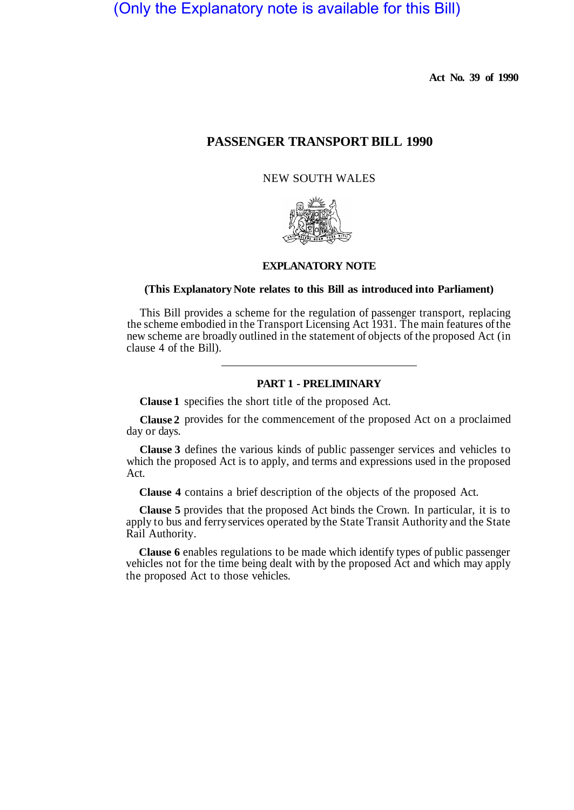# (Only the Explanatory note is available for this Bill)

**Act No. 39 of 1990** 

## **PASSENGER TRANSPORT BILL 1990**

## NEW SOUTH WALES



## **EXPLANATORY NOTE**

### **(This Explanatory Note relates to this Bill as introduced into Parliament)**

This Bill provides a scheme for the regulation of passenger transport, replacing the scheme embodied in the Transport Licensing Act 1931. The main features of the new scheme are broadly outlined in the statement of objects of the proposed Act (in clause 4 of the Bill).

#### **PART 1 - PRELIMINARY**

**Clause 1**  specifies the short title of the proposed Act.

**Clause 2**  provides for the commencement of the proposed Act on a proclaimed day or days.

**Clause 3**  defines the various kinds of public passenger services and vehicles to which the proposed Act is to apply, and terms and expressions used in the proposed Act.

**Clause 4** contains a brief description of the objects of the proposed Act.

**Clause 5** provides that the proposed Act binds the Crown. In particular, it is to apply to bus and ferry services operated by the State Transit Authority and the State Rail Authority.

**Clause 6** enables regulations to be made which identify types of public passenger vehicles not for the time being dealt with by the proposed Act and which may apply the proposed Act to those vehicles.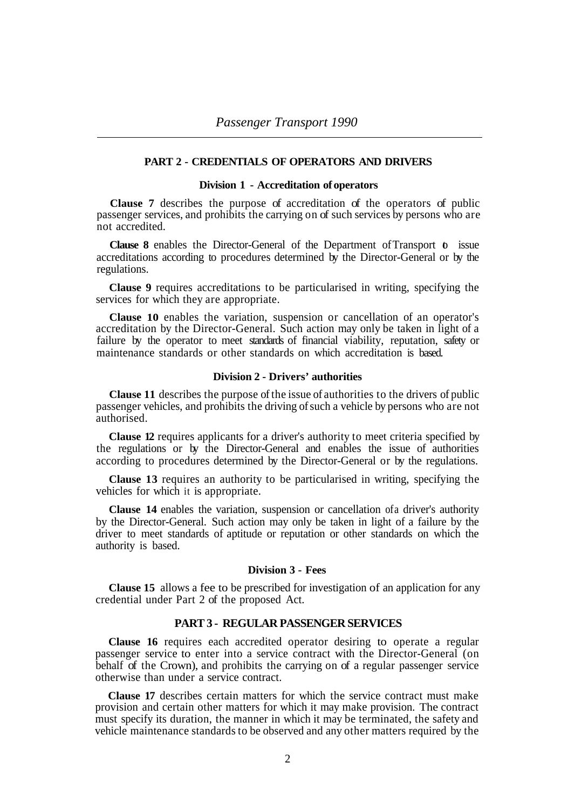### **PART 2 - CREDENTIALS OF OPERATORS AND DRIVERS**

## **Division 1 - Accreditation of operators**

**Clause 7** describes the purpose of accreditation of the operators of public passenger services, and prohibits the carrying on of such services by persons who are not accredited.

**Clause 8** enables the Director-General of the Department of Transport **b** issue accreditations according to procedures determined by the Director-General or by the regulations.

**Clause 9** requires accreditations to be particularised in writing, specifying the services for which they are appropriate.

**Clause 10** enables the variation, suspension or cancellation of an operator's accreditation by the Director-General. Such action may only be taken in light of a failure by the operator to meet standards of financial viability, reputation, safety or maintenance standards or other standards on which accreditation is based.

## **Division 2 - Drivers' authorities**

**Clause 11** describes the purpose of the issue of authorities to the drivers of public passenger vehicles, and prohibits the driving of such a vehicle by persons who are not authorised.

**Clause 12** requires applicants for a driver's authority to meet criteria specified by the regulations or by the Director-General and enables the issue of authorities according to procedures determined by the Director-General or by the regulations.

**Clause 13** requires an authority to be particularised in writing, specifying the vehicles for which it is appropriate.

**Clause 14** enables the variation, suspension or cancellation of a driver's authority by the Director-General. Such action may only be taken in light of a failure by the driver to meet standards of aptitude or reputation or other standards on which the authority is based.

## **Division 3 - Fees**

**Clause 15** allows a fee to be prescribed for investigation of an application for any credential under Part 2 of the proposed Act.

## **PART 3 - REGULAR PASSENGER SERVICES**

**Clause 16** requires each accredited operator desiring to operate a regular passenger service to enter into a service contract with the Director-General (on behalf of the Crown), and prohibits the carrying on of a regular passenger service otherwise than under a service contract.

**Clause 17** describes certain matters for which the service contract must make provision and certain other matters for which it may make provision. The contract must specify its duration, the manner in which it may be terminated, the safety and vehicle maintenance standards to be observed and any other matters required by the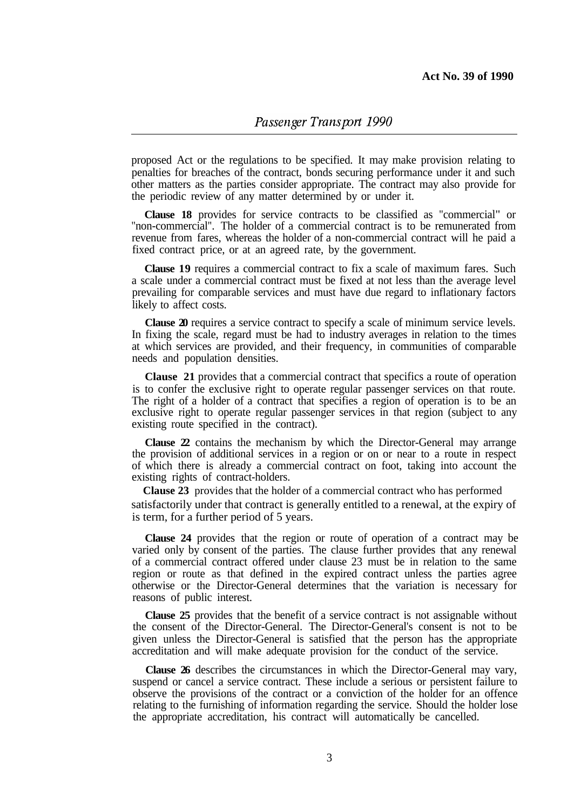proposed Act or the regulations to be specified. It may make provision relating to penalties for breaches of the contract, bonds securing performance under it and such other matters as the parties consider appropriate. The contract may also provide for the periodic review of any matter determined by or under it.

**Clause 18** provides for service contracts to be classified as "commercial" or "non-commercial". The holder of a commercial contract is to be remunerated from revenue from fares, whereas the holder of a non-commercial contract will he paid a fixed contract price, or at an agreed rate, by the government.

**Clause 19** requires a commercial contract to fix a scale of maximum fares. Such a scale under a commercial contract must be fixed at not less than the average level prevailing for comparable services and must have due regard to inflationary factors likely to affect costs.

**Clause 20** requires a service contract to specify a scale of minimum service levels. In fixing the scale, regard must be had to industry averages in relation to the times at which services are provided, and their frequency, in communities of comparable needs and population densities.

**Clause 21** provides that a commercial contract that specifics a route of operation is to confer the exclusive right to operate regular passenger services on that route. The right of a holder of a contract that specifies a region of operation is to be an exclusive right to operate regular passenger services in that region (subject to any existing route specified in the contract).

**Clause 22** contains the mechanism by which the Director-General may arrange the provision of additional services in a region or on or near to a route in respect of which there is already a commercial contract on foot, taking into account the existing rights of contract-holders.

**Clause 23** provides that the holder of a commercial contract who has performed satisfactorily under that contract is generally entitled to a renewal, at the expiry of is term, for a further period of 5 years.

**Clause 24** provides that the region or route of operation of a contract may be varied only by consent of the parties. The clause further provides that any renewal of a commercial contract offered under clause 23 must be in relation to the same region or route as that defined in the expired contract unless the parties agree otherwise or the Director-General determines that the variation is necessary for reasons of public interest.

**Clause 25** provides that the benefit of a service contract is not assignable without the consent of the Director-General. The Director-General's consent is not to be given unless the Director-General is satisfied that the person has the appropriate accreditation and will make adequate provision for the conduct of the service.

**Clause 26** describes the circumstances in which the Director-General may vary, suspend or cancel a service contract. These include a serious or persistent failure to observe the provisions of the contract or a conviction of the holder for an offence relating to the furnishing of information regarding the service. Should the holder lose the appropriate accreditation, his contract will automatically be cancelled.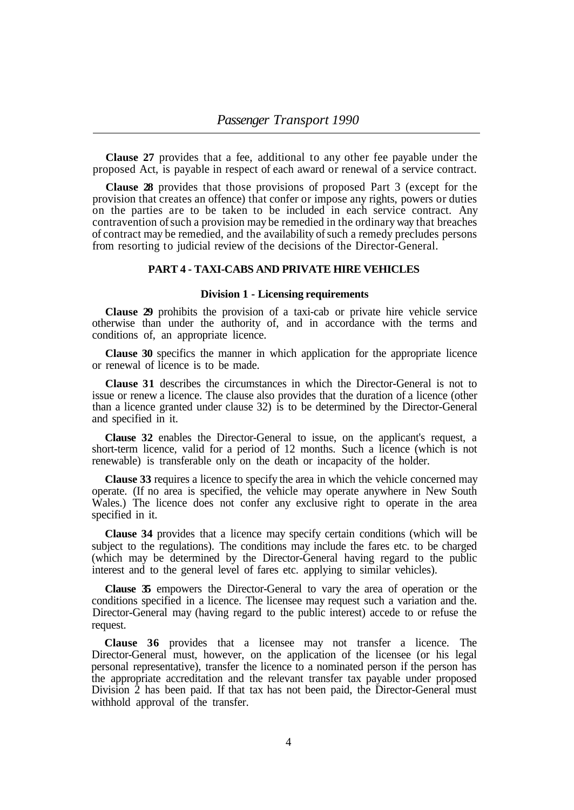**Clause 27** provides that a fee, additional to any other fee payable under the proposed Act, is payable in respect of each award or renewal of a service contract.

**Clause 28** provides that those provisions of proposed Part 3 (except for the provision that creates an offence) that confer or impose any rights, powers or duties on the parties are to be taken to be included in each service contract. Any contravention of such a provision may be remedied in the ordinary way that breaches of contract may be remedied, and the availability of such a remedy precludes persons from resorting to judicial review of the decisions of the Director-General.

## **PART 4 - TAXI-CABS AND PRIVATE HIRE VEHICLES**

#### **Division 1 - Licensing requirements**

**Clause 29** prohibits the provision of a taxi-cab or private hire vehicle service otherwise than under the authority of, and in accordance with the terms and conditions of, an appropriate licence.

or renewal of licence is to be made. **Clause 30** specifics the manner in which application for the appropriate licence

**Clause 31** describes the circumstances in which the Director-General is not to issue or renew a licence. The clause also provides that the duration of a licence (other than a licence granted under clause 32) is to be determined by the Director-General and specified in it.

**Clause 32** enables the Director-General to issue, on the applicant's request, a short-term licence, valid for a period of 12 months. Such a licence (which is not renewable) is transferable only on the death or incapacity of the holder.

**Clause 33** requires a licence to specify the area in which the vehicle concerned may operate. (If no area is specified, the vehicle may operate anywhere in New South Wales.) The licence does not confer any exclusive right to operate in the area specified in it.

**Clause 34** provides that a licence may specify certain conditions (which will be subject to the regulations). The conditions may include the fares etc. to be charged (which may be determined by the Director-General having regard to the public interest and to the general level of fares etc. applying to similar vehicles).

**Clause 35** empowers the Director-General to vary the area of operation or the conditions specified in a licence. The licensee may request such a variation and the. Director-General may (having regard to the public interest) accede to or refuse the request.

**Clause 36** provides that a licensee may not transfer a licence. The Director-General must, however, on the application of the licensee (or his legal personal representative), transfer the licence to a nominated person if the person has the appropriate accreditation and the relevant transfer tax payable under proposed Division 2 has been paid. If that tax has not been paid, the Director-General must withhold approval of the transfer.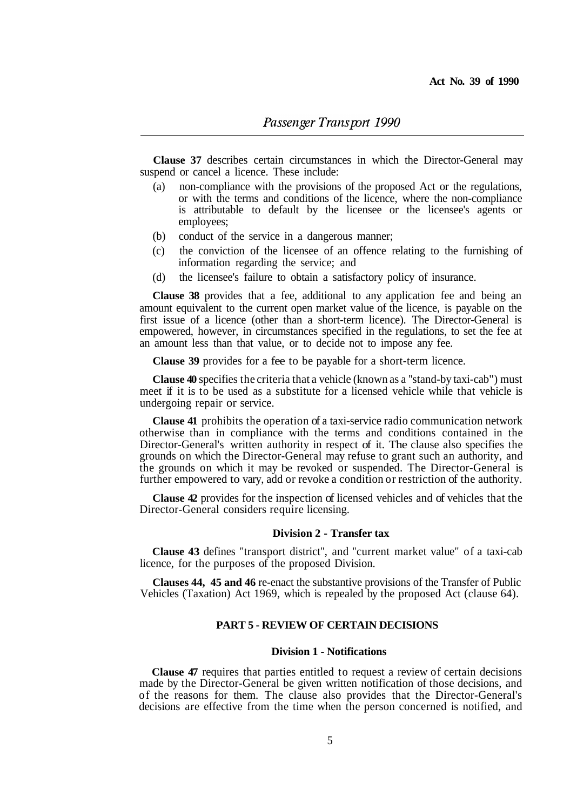**Clause 37** describes certain circumstances in which the Director-General may suspend or cancel a licence. These include:

- (a) non-compliance with the provisions of the proposed Act or the regulations, or with the terms and conditions of the licence, where the non-compliance is attributable to default by the licensee or the licensee's agents or employees;
- (b) conduct of the service in a dangerous manner;
- (c) the conviction of the licensee of an offence relating to the furnishing of information regarding the service; and
- (d) the licensee's failure to obtain a satisfactory policy of insurance.

**Clause 38** provides that a fee, additional to any application fee and being an amount equivalent to the current open market value of the licence, is payable on the first issue of a licence (other than a short-term licence). The Director-General is empowered, however, in circumstances specified in the regulations, to set the fee at an amount less than that value, or to decide not to impose any fee.

**Clause 39** provides for a fee to be payable for a short-term licence.

**Clause 40** specifies the criteria that a vehicle (known as a "stand-by taxi-cab") must meet if it is to be used as a substitute for a licensed vehicle while that vehicle is undergoing repair or service.

**Clause 41** prohibits the operation of a taxi-service radio communication network otherwise than in compliance with the terms and conditions contained in the Director-General's written authority in respect of it. The clause also specifies the grounds on which the Director-General may refuse to grant such an authority, and the grounds on which it may be revoked or suspended. The Director-General is further empowered to vary, add or revoke a condition or restriction of the authority.

**Clause 42** provides for the inspection of licensed vehicles and of vehicles that the Director-General considers require licensing.

#### **Division 2 - Transfer tax**

**Clause 43** defines "transport district", and "current market value" of a taxi-cab licence, for the purposes of the proposed Division.

**Clauses 44, 45 and 46** re-enact the substantive provisions of the Transfer of Public Vehicles (Taxation) Act 1969, which is repealed by the proposed Act (clause 64).

#### **PART 5 - REVIEW OF CERTAIN DECISIONS**

## **Division 1 - Notifications**

**Clause 47** requires that parties entitled to request a review of certain decisions made by the Director-General be given written notification of those decisions, and of the reasons for them. The clause also provides that the Director-General's decisions are effective from the time when the person concerned is notified, and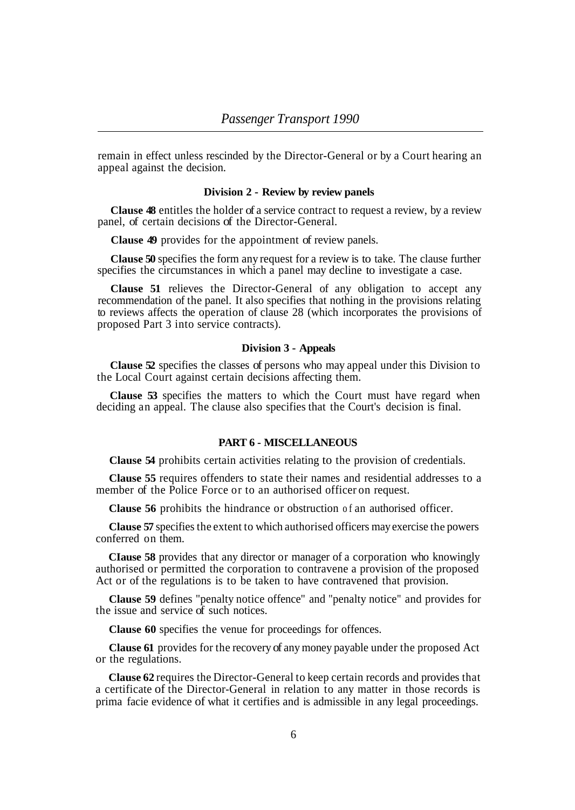remain in effect unless rescinded by the Director-General or by a Court hearing an appeal against the decision.

## **Division 2 - Review by review panels**

**Clause 48** entitles the holder of a service contract to request a review, by a review panel, of certain decisions of the Director-General.

**Clause 49** provides for the appointment of review panels.

**Clause 50** specifies the form any request for a review is to take. The clause further specifies the circumstances in which a panel may decline to investigate a case.

**Clause 51** relieves the Director-General of any obligation to accept any recommendation of the panel. It also specifies that nothing in the provisions relating to reviews affects the operation of clause 28 (which incorporates the provisions of proposed Part 3 into service contracts).

#### **Division 3 - Appeals**

**Clause 52** specifies the classes of persons who may appeal under this Division to the Local Court against certain decisions affecting them.

**Clause 53** specifies the matters to which the Court must have regard when deciding an appeal. The clause also specifies that the Court's decision is final.

## **PART 6 - MISCELLANEOUS**

**Clause 54** prohibits certain activities relating to the provision of credentials.

**Clause 55** requires offenders to state their names and residential addresses to a member of the Police Force or to an authorised officer on request.

**Clause 56** prohibits the hindrance or obstruction of an authorised officer.

**Clause 57** specifies the extent to which authorised officers may exercise the powers conferred on them.

**CIause 58** provides that any director or manager of a corporation who knowingly authorised or permitted the corporation to contravene a provision of the proposed Act or of the regulations is to be taken to have contravened that provision.

**Clause 59** defines "penalty notice offence" and "penalty notice" and provides for the issue and service of such notices.

**Clause 60** specifies the venue for proceedings for offences.

**Clause 61** provides for the recovery of any money payable under the proposed Act or the regulations.

**Clause 62** requires the Director-General to keep certain records and provides that a certificate of the Director-General in relation to any matter in those records is prima facie evidence of what it certifies and is admissible in any legal proceedings.